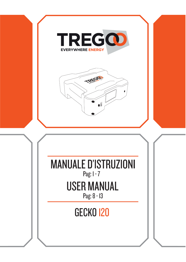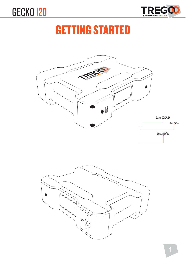



## GETTING STARTED

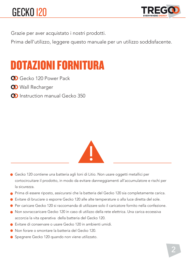

Grazie per aver acquistato i nostri prodotti.

Prima dell'utilizzo, leggere questo manuale per un utilizzo soddisfacente.

#### DOTAZIONI FORNITURA

Concerto 120 Power Pack

- **OD** Wall Recharger
- **O** Instruction manual Gecko 350



- **GECKO 120**<br> **CHECKO 120**<br> **CHECKO 120**<br> **CHECKO 120**<br> **CHECKO 120**<br> **CHECKO 120**<br> **CHECKO 120**<br> **CHECKO 120**<br> **CHECKO 120**<br> **CHECKO 120**<br> **CHECKO 120**<br> **CHECKO 120**<br> **CHECKO 120**<br> **CHECKO 120**<br> **CHECKO 120**<br> **CHECKO 120**<br> Gecko 120 contiene una batteria agli Ioni di Litio. Non usare oggetti metallici per cortocircuitare il prodotto, in modo da evitare danneggiamenti all'accumulatore e rischi per la sicurezza.
- Prima di essere riposto, assicurarsi che la batteria del Gecko 120 sia completamente carica.
- Evitare di bruciare o esporre Gecko 120 alle alte temperature o alla luce diretta del sole.
- Per caricare Gecko 120 si raccomanda di utilizzare solo il caricatore fornito nella confezione.
- Non sovraccaricare Gecko 120 in caso di utilizzo della rete elettrica. Una carica eccessiva accorcia la vita operativa della batteria del Gecko 120.
- Evitare di conservare o usare Gecko 120 in ambienti umidi.
- Non forare o smontare la batteria del Gecko 120.
- Spegnere Gecko 120 quando non viene utilizzato.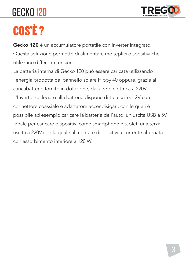

# COS'È ?

Gecko 120 è un accumulatore portatile con inverter integrato. Questa soluzione permette di alimentare molteplici dispositivi che utilizzano differenti tensioni.

La batteria interna di Gecko 120 può essere caricata utilizzando l'energia prodotta dal pannello solare Hippy 40 oppure, grazie al caricabatterie fornito in dotazione, dalla rete elettrica a 220V. L'Inverter collegato alla batteria dispone di tre uscite: 12V con connettore coassiale e adattatore accendisigari, con le quali è possibile ad esempio caricare la batteria dell'auto; un'uscita USB a 5V ideale per caricare dispositivi come smartphone e tablet; una terza uscita a 220V con la quale alimentare dispositivi a corrente alternata con assorbimento inferiore a 120 W. **COSTE ?**<br> **COSTE ?**<br> **COSTE 2018**<br> **COSTE 2018**<br> **COSTE 2018**<br> **COSTE 2018**<br> **COSTE 2018**<br> **COSTE 2019**<br> **COSTERV**<br> **COSTERV**<br> **COSTERV**<br> **COSTERV**<br> **COSTERV**<br> **COSTERV**<br> **COSTERV**<br> **COSTERV**<br> **COSTERV**<br> **COSTERV**<br> **COSTE**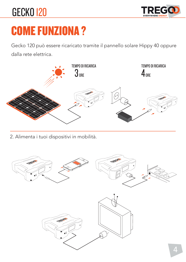

# COME FUNZIONA ?

dalla rete elettrica.



2. Alimenta i tuoi dispositivi in mobilità.

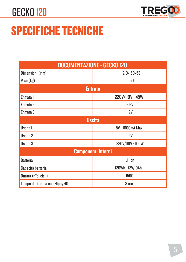

# SPECIFICHE TECNICHE

| <b>DOCUMENTAZIONE - GECKO 120</b> |                  |  |  |  |
|-----------------------------------|------------------|--|--|--|
| Dimensioni (mm)                   | 210x150x53       |  |  |  |
| Peso (kg)                         | 1,50             |  |  |  |
| <b>Entrata</b>                    |                  |  |  |  |
| Entrata I                         | 220V/II0V - 45W  |  |  |  |
| Entrata <sub>2</sub>              | <b>12 PV</b>     |  |  |  |
| Entrata <sub>3</sub>              | 12V              |  |  |  |
| <b>Uscita</b>                     |                  |  |  |  |
| Uscita I                          | 5V - 1000mA Max  |  |  |  |
| Uscita 2                          | 12V              |  |  |  |
| Uscita <sub>3</sub>               | 220V/II0V - I00W |  |  |  |
| <b>Componenti Interni</b>         |                  |  |  |  |
| <b>Batteria</b>                   | Li-Ion           |  |  |  |
| Capacità batteria                 | 120Wh - 12V/10Ah |  |  |  |
| Durata (n°di cicli)               | 1500             |  |  |  |
| Tempo di ricarica con Hippy 40    | 3 ore            |  |  |  |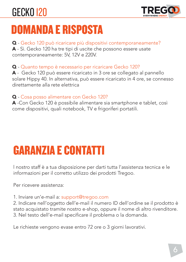

# DOMANDA E RISPOSTA

Q - Gecko 120 può ricaricare più dispositivi contemporaneamente? A - Sì. Gecko 120 ha tre tipi di uscite che possono essere usate contemporaneamente: 5V, 12V e 220V.

Q - Quanto tempo è necessario per ricaricare Gecko 120?

A - Gecko 120 può essere ricaricato in 3 ore se collegato al pannello solare Hippy 40. In alternativa, può essere ricaricato in 4 ore, se connesso direttamente alla rete elettrica

#### Q - Cosa posso alimentare con Gecko 120?

A -Con Gecko 120 è possibile alimentare sia smartphone e tablet, così come dispositivi, quali notebook, TV e frigoriferi portatili.

# GARANZIA E CONTATTI

l nostro staff è a tua disposizione per darti tutta l'assistenza tecnica e le informazioni per il corretto utilizzo dei prodotti Tregoo.

Per ricevere assistenza:

1. Inviare un'e-mail a: support@tregoo.com

2. Indicare nell'oggetto dell'e-mail il numero ID dell'ordine se il prodotto è stato acquistato tramite nostro e-shop, oppure il nome di altro rivenditore. 3. Nel testo dell'e-mail specificare il problema o la domanda.

Le richieste vengono evase entro 72 ore o 3 giorni lavorativi.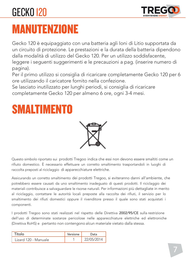

### MANUTENZIONE

Gecko 120 è equipaggiato con una batteria agli Ioni di Litio supportata da un circuito di protezione. Le prestazioni e la durata della batteria dipendono dalla modalità di utilizzo del Gecko 120. Per un utilizzo soddisfacente, leggere i seguenti suggerimenti e le precauzioni a pag. (inserire numero di pagina).

Per il primo utilizzo si consiglia di ricaricare completamente Gecko 120 per 6 ore utilizzando il caricatore fornito nella confezione.

Se lasciato inutilizzato per lunghi periodi, si consiglia di ricaricare completamente Gecko 120 per almeno 6 ore, ogni 3-4 mesi.





Questo simbolo riportato sui prodotti Tregoo indica che essi non devono essere smaltiti come un rifiuto domestico. È necessario effettuare un corretto smaltimento trasportandoli in luoghi di raccolta preposti al riciclaggio di apparecchiature elettriche.

Assicurando un corretto smaltimento dei prodotti Tregoo, si eviteranno danni all'ambiente, che potrebbero essere causati da uno smaltimento inadeguato di questi prodotti. Il riciclaggio dei materiali contribuisce a salvaguardare le risorse naturali. Per informazioni più dettagliate in merito al riciclaggio, contattare le autorità locali preposte alla raccolta dei rifiuti, il servizio per lo smaltimento dei rifiuti domestici oppure il rivenditore presso il quale sono stati acquistati i componenti.

I prodotti Tregoo sono stati realizzati nel rispetto delle Direttiva 2002/95/CE sulla restrizione dell'uso di determinate sostanze pericolose nelle apparecchiature elettriche ed elettroniche (Direttiva RoHS) e pertanto non contengono alcun materiale vietato dalla stessa.

|                      | Versione |          |
|----------------------|----------|----------|
| Lizard 120 - Manuale |          | 105/2014 |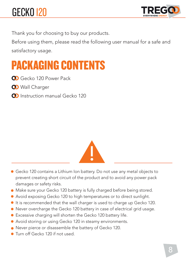

Thank you for choosing to buy our products.

Before using them, please read the following user manual for a safe and satisfactory usage.

#### PACKAGING CONTENTS

Co Gecko 120 Power Pack

**OD** Wall Charger

**O** Instruction manual Gecko 120



- Gecko 120 contains a Lithium Ion battery. Do not use any metal objects to prevent creating short circuit of the product and to avoid any power pack damages or safety risks.
- Make sure your Gecko 120 battery is fully charged before being stored.
- Avoid exposing Gecko 120 to high temperatures or to direct sunlight.
- It is recommended that the wall charger is used to charge up Gecko 120.
- Never overcharge the Gecko 120 battery in case of electrical grid usage.
- Excessive charging will shorten the Gecko 120 battery life.
- Avoid storing or using Gecko 120 in steamy environments.
- Never pierce or disassemble the battery of Gecko 120.
- Turn off Gecko 120 if not used.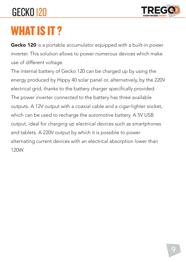

# WHAT IS IT ?

Gecko 120 is a portable accumulator equipped with a built-in power inverter. This solution allows to power numerous devices which make use of different voltage.

The internal battery of Gecko 120 can be charged up by using the energy produced by Hippy 40 solar panel or, alternatively, by the 220V electrical grid, thanks to the battery charger specifically provided. The power inverter connected to the battery has three available outputs. A 12V output with a coaxial cable and a cigar-lighter socket, which can be used to recharge the automotive battery. A 5V USB output, ideal for charging up electrical devices such as smartphones and tablets. A 220V output by which it is possible to power alternating current devices with an electrical absorption lower than 120W.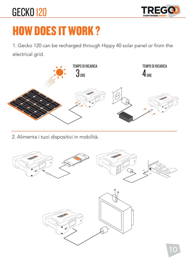

# HOW DOES IT WORK ?

1. Gecko 120 can be recharged through Hippy 40 solar panel or from the electrical grid.



2. Alimenta i tuoi dispositivi in mobilità.

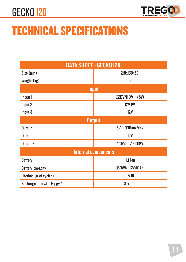

# TECHNICAL SPECIFICATIONS

| <b>DATA SHEET - GECKO 120</b> |                  |  |  |  |
|-------------------------------|------------------|--|--|--|
| Size (mm)                     | 210x150x53       |  |  |  |
| Weight (kg)                   | 1,50             |  |  |  |
| <b>Input</b>                  |                  |  |  |  |
| Input I                       | 220V/II0V - 45W  |  |  |  |
| Input 2                       | <b>I2V PV</b>    |  |  |  |
| Input 3                       | 12V              |  |  |  |
| <b>Output</b>                 |                  |  |  |  |
| Output I                      | 5V - 1000mA Max  |  |  |  |
| Output 2                      | 12V              |  |  |  |
| Output 3                      | 220V/II0V - I00W |  |  |  |
| <b>Internal components</b>    |                  |  |  |  |
| Battery                       | Li-Ion           |  |  |  |
| <b>Battery capacity</b>       | 350Wh - I2V/I0Ah |  |  |  |
| Lifetime (n°of cycles)        | 1500             |  |  |  |
| Recharge time with Hippy 40   | 3 hours          |  |  |  |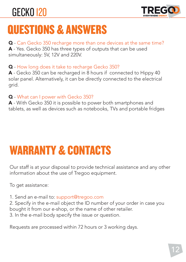

## QUESTIONS & ANSWERS

Q - Can Gecko 350 recharge more than one devices at the same time? A - Yes. Gecko 350 has three types of outputs that can be used simultaneously: 5V, 12V and 220V.

Q - How long does it take to recharge Gecko 350?

A - Gecko 350 can be recharged in 8 hours if connected to Hippy 40 solar panel. Alternatively, it can be directly connected to the electrical grid.

#### Q - What can I power with Gecko 350?

A - With Gecko 350 it is possible to power both smartphones and tablets, as well as devices such as notebooks, TVs and portable fridges

# WARRANTY & CONTACTS

Our staff is at your disposal to provide technical assistance and any other information about the use of Tregoo equipment.

To get assistance:

1. Send an e-mail to: support@tregoo.com

2. Specify in the e-mail object the ID number of your order in case you bought it from our e-shop, or the name of other retailer.

3. In the e-mail body specify the issue or question.

Requests are processed within 72 hours or 3 working days.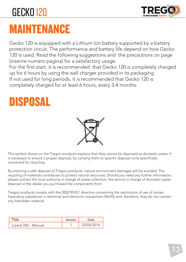

#### MAINTENANCE

Gecko 120 is equipped with a Lithium Ion battery supported by a battery protection circuit. The performance and battery life depend on how Gecko 120 is used. Read the following suggestions and the precautions on page (inserire numero pagina) for a satisfactory usage.

For the first start, it is recommended that Gecko 120 is completely charged up for 6 hours by using the wall charger provided in its packaging. If not used for long periods, it is recommended that Gecko 120 is completely charged for at least 6 hours, every 3-4 months.

#### DISPOSAL



This symbol shown on the Tregoo products explains that they cannot be disposed as domestic waste. It is necessary to ensure a proper disposal, by carrying them to specific disposal units specifically conceived for recycling.

By ensuring a safe disposal of Tregoo products, natural environment damages will be avoided. The recycling of materials contributes to protect natural resources. Should you need any further information, please contact the local authority in charge of waste collection, the service in charge of domestic waste disposal or the dealer you purchased the components from.

Tregoo products comply with the 2002/95/EC directive concerning the restrictions of use of certain hazardous substances in electrical and electronic equipment (RoHS) and, therefore, they do not contain any forbidden material.

|                     | Version | ate <sup>1</sup> |
|---------------------|---------|------------------|
| Lizard 350 - Manual |         | 2/05/2014        |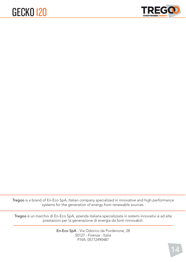

Tregoo is a brand of En-Eco SpA, Italian company specialized in innovative and high performance systems for the generation of energy from renewable sources.

Tregoo è un marchio di En-Eco SpA, azienda italiana specializzata in sistemi innovativi e ad alte prestazioni per la generazione di energia da fonti rinnovabili.

> En-Eco SpA - Via Odorico da Pordenone, 28 50127 - Firenze - Italia P.IVA: 05772490487